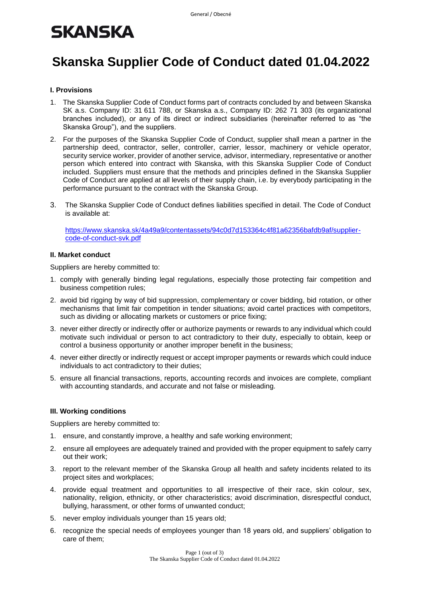# **SKANSKA**

## **Skanska Supplier Code of Conduct dated 01.04.2022**

### **I. Provisions**

- 1. The Skanska Supplier Code of Conduct forms part of contracts concluded by and between Skanska SK a.s. Company ID: 31 611 788, or Skanska a.s., Company ID: 262 71 303 (its organizational branches included), or any of its direct or indirect subsidiaries (hereinafter referred to as "the Skanska Group"), and the suppliers.
- 2. For the purposes of the Skanska Supplier Code of Conduct, supplier shall mean a partner in the partnership deed, contractor, seller, controller, carrier, lessor, machinery or vehicle operator, security service worker, provider of another service, advisor, intermediary, representative or another person which entered into contract with Skanska, with this Skanska Supplier Code of Conduct included. Suppliers must ensure that the methods and principles defined in the Skanska Supplier Code of Conduct are applied at all levels of their supply chain, i.e. by everybody participating in the performance pursuant to the contract with the Skanska Group.
- 3. The Skanska Supplier Code of Conduct defines liabilities specified in detail. The Code of Conduct is available at:

[https://www.skanska.sk/4a49a9/contentassets/94c0d7d153364c4f81a62356bafdb9af/supplier](https://www.skanska.sk/4a49a9/contentassets/94c0d7d153364c4f81a62356bafdb9af/supplier-code-of-conduct-svk.pdf)[code-of-conduct-svk.pdf](https://www.skanska.sk/4a49a9/contentassets/94c0d7d153364c4f81a62356bafdb9af/supplier-code-of-conduct-svk.pdf)

#### **II. Market conduct**

Suppliers are hereby committed to:

- 1. comply with generally binding legal regulations, especially those protecting fair competition and business competition rules;
- 2. avoid bid rigging by way of bid suppression, complementary or cover bidding, bid rotation, or other mechanisms that limit fair competition in tender situations; avoid cartel practices with competitors, such as dividing or allocating markets or customers or price fixing;
- 3. never either directly or indirectly offer or authorize payments or rewards to any individual which could motivate such individual or person to act contradictory to their duty, especially to obtain, keep or control a business opportunity or another improper benefit in the business;
- 4. never either directly or indirectly request or accept improper payments or rewards which could induce individuals to act contradictory to their duties;
- 5. ensure all financial transactions, reports, accounting records and invoices are complete, compliant with accounting standards, and accurate and not false or misleading.

#### **III. Working conditions**

Suppliers are hereby committed to:

- 1. ensure, and constantly improve, a healthy and safe working environment;
- 2. ensure all employees are adequately trained and provided with the proper equipment to safely carry out their work;
- 3. report to the relevant member of the Skanska Group all health and safety incidents related to its project sites and workplaces;
- 4. provide equal treatment and opportunities to all irrespective of their race, skin colour, sex, nationality, religion, ethnicity, or other characteristics; avoid discrimination, disrespectful conduct, bullying, harassment, or other forms of unwanted conduct;
- 5. never employ individuals younger than 15 years old;
- 6. recognize the special needs of employees younger than 18 years old, and suppliers' obligation to care of them;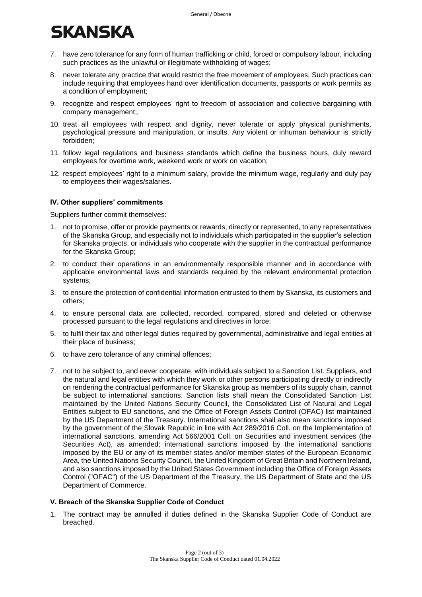# **SKANSKA**

- 7. have zero tolerance for any form of human trafficking or child, forced or compulsory labour, including such practices as the unlawful or illegitimate withholding of wages;
- 8. never tolerate any practice that would restrict the free movement of employees. Such practices can include requiring that employees hand over identification documents, passports or work permits as a condition of employment;
- 9. recognize and respect employees' right to freedom of association and collective bargaining with company management;,
- 10. treat all employees with respect and dignity, never tolerate or apply physical punishments, psychological pressure and manipulation, or insults. Any violent or inhuman behaviour is strictly forbidden;
- 11. follow legal regulations and business standards which define the business hours, duly reward employees for overtime work, weekend work or work on vacation;
- 12. respect employees' right to a minimum salary, provide the minimum wage, regularly and duly pay to employees their wages/salaries.

### **IV. Other suppliers' commitments**

Suppliers further commit themselves:

- 1. not to promise, offer or provide payments or rewards, directly or represented, to any representatives of the Skanska Group, and especially not to individuals which participated in the supplier's selection for Skanska projects, or individuals who cooperate with the supplier in the contractual performance for the Skanska Group;
- 2. to conduct their operations in an environmentally responsible manner and in accordance with applicable environmental laws and standards required by the relevant environmental protection systems;
- 3. to ensure the protection of confidential information entrusted to them by Skanska, its customers and others;
- 4. to ensure personal data are collected, recorded, compared, stored and deleted or otherwise processed pursuant to the legal regulations and directives in force;
- 5. to fulfil their tax and other legal duties required by governmental, administrative and legal entities at their place of business;
- 6. to have zero tolerance of any criminal offences;
- 7. not to be subject to, and never cooperate, with individuals subject to a Sanction List. Suppliers, and the natural and legal entities with which they work or other persons participating directly or indirectly on rendering the contractual performance for Skanska group as members of its supply chain, cannot be subject to international sanctions. Sanction lists shall mean the Consolidated Sanction List maintained by the United Nations Security Council, the Consolidated List of Natural and Legal Entities subject to EU sanctions, and the Office of Foreign Assets Control (OFAC) list maintained by the US Department of the Treasury. International sanctions shall also mean sanctions imposed by the government of the Slovak Republic in line with Act 289/2016 Coll. on the Implementation of international sanctions, amending Act 566/2001 Coll. on Securities and investment services (the Securities Act), as amended; international sanctions imposed by the international sanctions imposed by the EU or any of its member states and/or member states of the European Economic Area, the United Nations Security Council, the United Kingdom of Great Britain and Northern Ireland, and also sanctions imposed by the United States Government including the Office of Foreign Assets Control ("OFAC") of the US Department of the Treasury, the US Department of State and the US Department of Commerce.

#### **V. Breach of the Skanska Supplier Code of Conduct**

1. The contract may be annulled if duties defined in the Skanska Supplier Code of Conduct are breached.